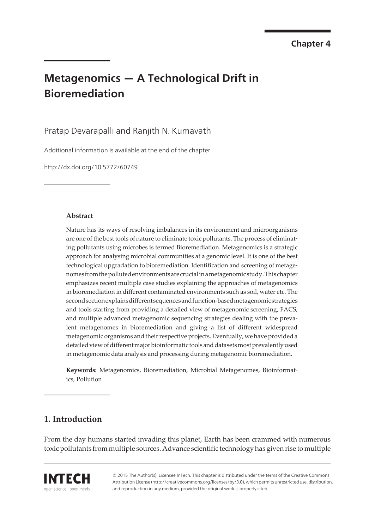# **Metagenomics — A Technological Drift in Bioremediation**

Pratap Devarapalli and Ranjith N. Kumavath

[Additional information is available at the end of the chapter](#page-11-0)

http://dx.doi.org/10.5772/60749

#### **Abstract**

Nature has its ways of resolving imbalances in its environment and microorganisms are one of the best tools of nature to eliminate toxic pollutants. The process of eliminating pollutants using microbes is termed Bioremediation. Metagenomics is a strategic approach for analysing microbial communities at a genomic level. It is one of the best technological upgradation to bioremediation. Identification and screening of metage‐ nomesfromthepollutedenvironmentsarecrucialinametagenomicstudy.Thischapter emphasizes recent multiple case studies explaining the approaches of metagenomics in bioremediation in different contaminated environments such as soil, water etc. The secondsectionexplainsdifferentsequencesandfunction-basedmetagenomicstrategies and tools starting from providing a detailed view of metagenomic screening, FACS, and multiple advanced metagenomic sequencing strategies dealing with the prevalent metagenomes in bioremediation and giving a list of different widespread metagenomic organisms and their respective projects. Eventually, we have provided a detailed view of different major bioinformatic tools and datasets most prevalently used in metagenomic data analysis and processing during metagenomic bioremediation.

**Keywords:** Metagenomics, Bioremediation, Microbial Metagenomes, Bioinformat‐ ics, Pollution

# **1. Introduction**

From the day humans started invading this planet, Earth has been crammed with numerous toxic pollutants from multiple sources. Advance scientific technology has given rise to multiple



© 2015 The Author(s). Licensee InTech. This chapter is distributed under the terms of the Creative Commons Attribution License (http://creativecommons.org/licenses/by/3.0), which permits unrestricted use, distribution, and reproduction in any medium, provided the original work is properly cited.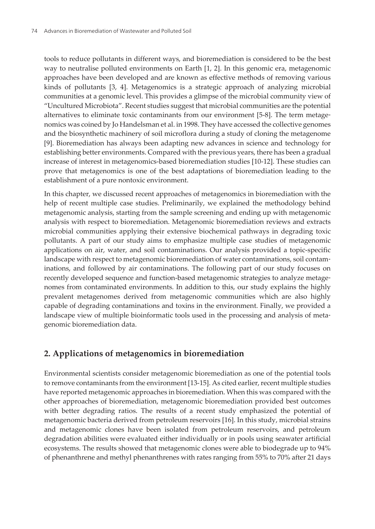tools to reduce pollutants in different ways, and bioremediation is considered to be the best way to neutralise polluted environments on Earth [[1](#page-11-0), [2\]](#page-11-0). In this genomic era, metagenomic approaches have been developed and are known as effective methods of removing various kinds of pollutants [[3](#page-11-0), [4](#page-11-0)]. Metagenomics is a strategic approach of analyzing microbial communities at a genomic level. This provides a glimpse of the microbial community view of "Uncultured Microbiota". Recent studies suggest that microbial communities are the potential alternatives to eliminate toxic contaminants from our environment [\[5-](#page-11-0)[8](#page-12-0)]. The term metagenomics was coined by Jo Handelsman et al. in 1998. They have accessed the collective genomes and the biosynthetic machinery of soil microflora during a study of cloning the metagenome [[9](#page-12-0)]. Bioremediation has always been adapting new advances in science and technology for establishing better environments. Compared with the previous years, there has been a gradual increase of interest in metagenomics-based bioremediation studies [[10-12\]](#page-12-0). These studies can prove that metagenomics is one of the best adaptations of bioremediation leading to the establishment of a pure nontoxic environment.

In this chapter, we discussed recent approaches of metagenomics in bioremediation with the help of recent multiple case studies. Preliminarily, we explained the methodology behind metagenomic analysis, starting from the sample screening and ending up with metagenomic analysis with respect to bioremediation. Metagenomic bioremediation reviews and extracts microbial communities applying their extensive biochemical pathways in degrading toxic pollutants. A part of our study aims to emphasize multiple case studies of metagenomic applications on air, water, and soil contaminations. Our analysis provided a topic-specific landscape with respect to metagenomic bioremediation of water contaminations, soil contaminations, and followed by air contaminations. The following part of our study focuses on recently developed sequence and function-based metagenomic strategies to analyze metagenomes from contaminated environments. In addition to this, our study explains the highly prevalent metagenomes derived from metagenomic communities which are also highly capable of degrading contaminations and toxins in the environment. Finally, we provided a landscape view of multiple bioinformatic tools used in the processing and analysis of meta‐ genomic bioremediation data.

# **2. Applications of metagenomics in bioremediation**

Environmental scientists consider metagenomic bioremediation as one of the potential tools to remove contaminants from the environment [[13-15\]](#page-12-0). As cited earlier, recent multiple studies have reported metagenomic approaches in bioremediation. When this was compared with the other approaches of bioremediation, metagenomic bioremediation provided best outcomes with better degrading ratios. The results of a recent study emphasized the potential of metagenomic bacteria derived from petroleum reservoirs [[16\]](#page-12-0). In this study, microbial strains and metagenomic clones have been isolated from petroleum reservoirs, and petroleum degradation abilities were evaluated either individually or in pools using seawater artificial ecosystems. The results showed that metagenomic clones were able to biodegrade up to 94% of phenanthrene and methyl phenanthrenes with rates ranging from 55% to 70% after 21 days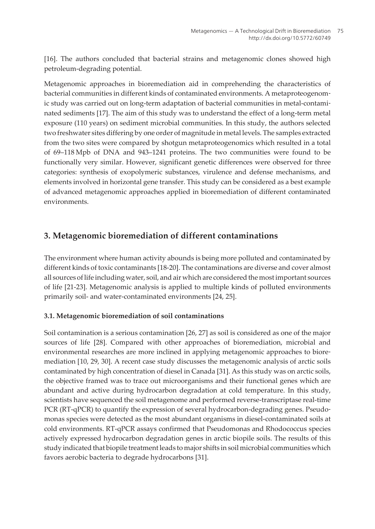[[16\]](#page-12-0). The authors concluded that bacterial strains and metagenomic clones showed high petroleum-degrading potential.

Metagenomic approaches in bioremediation aid in comprehending the characteristics of bacterial communities in different kinds of contaminated environments. A metaproteogenomic study was carried out on long-term adaptation of bacterial communities in metal-contami‐ nated sediments [\[17](#page-12-0)]. The aim of this study was to understand the effect of a long-term metal exposure (110 years) on sediment microbial communities. In this study, the authors selected two freshwater sites differing by one order of magnitude in metal levels. The samples extracted from the two sites were compared by shotgun metaproteogenomics which resulted in a total of 69–118 Mpb of DNA and 943–1241 proteins. The two communities were found to be functionally very similar. However, significant genetic differences were observed for three categories: synthesis of exopolymeric substances, virulence and defense mechanisms, and elements involved in horizontal gene transfer. This study can be considered as a best example of advanced metagenomic approaches applied in bioremediation of different contaminated environments.

# **3. Metagenomic bioremediation of different contaminations**

The environment where human activity abounds is being more polluted and contaminated by different kinds of toxic contaminants [[18](#page-12-0)[-20](#page-13-0)]. The contaminations are diverse and cover almost all sources of life including water, soil, and air which are considered the most important sources of life [[21-23\]](#page-13-0). Metagenomic analysis is applied to multiple kinds of polluted environments primarily soil- and water-contaminated environments [[24, 25](#page-13-0)].

## **3.1. Metagenomic bioremediation of soil contaminations**

Soil contamination is a serious contamination [[26, 27](#page-13-0)] as soil is considered as one of the major sources of life [\[28](#page-13-0)]. Compared with other approaches of bioremediation, microbial and environmental researches are more inclined in applying metagenomic approaches to biore‐ mediation [[10,](#page-12-0) [29](#page-13-0), [30](#page-13-0)]. A recent case study discusses the metagenomic analysis of arctic soils contaminated by high concentration of diesel in Canada [[31\]](#page-13-0). As this study was on arctic soils, the objective framed was to trace out microorganisms and their functional genes which are abundant and active during hydrocarbon degradation at cold temperature. In this study, scientists have sequenced the soil metagenome and performed reverse-transcriptase real-time PCR (RT-qPCR) to quantify the expression of several hydrocarbon-degrading genes. Pseudomonas species were detected as the most abundant organisms in diesel-contaminated soils at cold environments. RT-qPCR assays confirmed that Pseudomonas and Rhodococcus species actively expressed hydrocarbon degradation genes in arctic biopile soils. The results of this study indicated that biopile treatment leads to major shifts in soil microbial communities which favors aerobic bacteria to degrade hydrocarbons [\[31](#page-13-0)].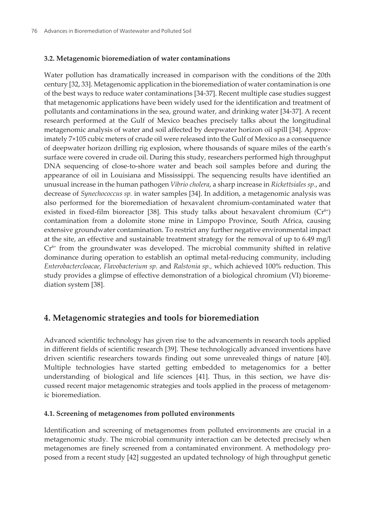#### **3.2. Metagenomic bioremediation of water contaminations**

Water pollution has dramatically increased in comparison with the conditions of the 20th century [[32, 33\]](#page-14-0). Metagenomic application in the bioremediation of water contamination is one of the best ways to reduce water contaminations [[34-37\]](#page-14-0). Recent multiple case studies suggest that metagenomic applications have been widely used for the identification and treatment of pollutants and contaminations in the sea, ground water, and drinking water [\[34-37](#page-14-0)]. A recent research performed at the Gulf of Mexico beaches precisely talks about the longitudinal metagenomic analysis of water and soil affected by deepwater horizon oil spill [[34\]](#page-14-0). Approximately 7×105 cubic meters of crude oil were released into the Gulf of Mexico as a consequence of deepwater horizon drilling rig explosion, where thousands of square miles of the earth's surface were covered in crude oil. During this study, researchers performed high throughput DNA sequencing of close-to-shore water and beach soil samples before and during the appearance of oil in Louisiana and Mississippi. The sequencing results have identified an unusual increase in the human pathogen *Vibrio cholera*, a sharp increase in *Rickettsiales sp.*, and decrease of *Synechococcus sp.* in water samples [[34\]](#page-14-0). In addition, a metagenomic analysis was also performed for the bioremediation of hexavalent chromium-contaminated water that existed in fixed-film bioreactor [[38\]](#page-14-0). This study talks about hexavalent chromium  $(Cr<sup>6+</sup>)$ contamination from a dolomite stone mine in Limpopo Province, South Africa, causing extensive groundwater contamination. To restrict any further negative environmental impact at the site, an effective and sustainable treatment strategy for the removal of up to 6.49 mg/l  $Cr<sup>6+</sup>$  from the groundwater was developed. The microbial community shifted in relative dominance during operation to establish an optimal metal-reducing community, including *Enterobactercloacae*, *Flavobacterium sp.* and *Ralstonia sp.,* which achieved 100% reduction. This study provides a glimpse of effective demonstration of a biological chromium (VI) bioreme‐ diation system [\[38](#page-14-0)].

# **4. Metagenomic strategies and tools for bioremediation**

Advanced scientific technology has given rise to the advancements in research tools applied in different fields of scientific research [\[39](#page-14-0)]. These technologically advanced inventions have driven scientific researchers towards finding out some unrevealed things of nature [[40\]](#page-14-0). Multiple technologies have started getting embedded to metagenomics for a better understanding of biological and life sciences [\[41](#page-14-0)]. Thus, in this section, we have dis‐ cussed recent major metagenomic strategies and tools applied in the process of metagenomic bioremediation.

#### **4.1. Screening of metagenomes from polluted environments**

Identification and screening of metagenomes from polluted environments are crucial in a metagenomic study. The microbial community interaction can be detected precisely when metagenomes are finely screened from a contaminated environment. A methodology pro‐ posed from a recent study [\[42](#page-14-0)] suggested an updated technology of high throughput genetic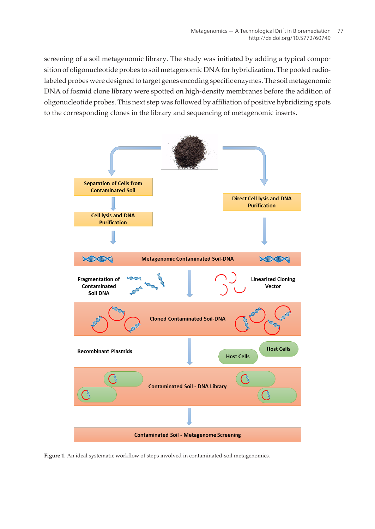<span id="page-4-0"></span>screening of a soil metagenomic library. The study was initiated by adding a typical composition of oligonucleotide probes to soil metagenomic DNA for hybridization. The pooled radiolabeled probes were designed to target genes encoding specific enzymes. The soil metagenomic DNA of fosmid clone library were spotted on high-density membranes before the addition of oligonucleotide probes. This next step was followed by affiliation of positive hybridizing spots to the corresponding clones in the library and sequencing of metagenomic inserts.



**Figure 1.** An ideal systematic workflow of steps involved in contaminated-soil metagenomics.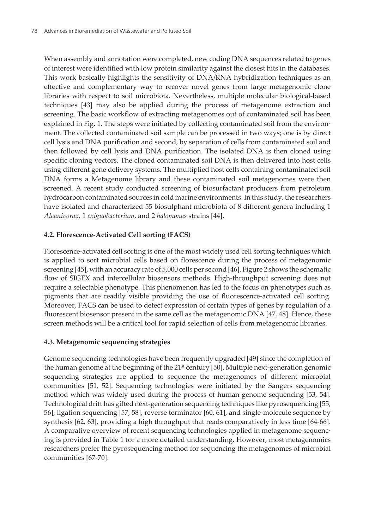When assembly and annotation were completed, new coding DNA sequences related to genes of interest were identified with low protein similarity against the closest hits in the databases. This work basically highlights the sensitivity of DNA/RNA hybridization techniques as an effective and complementary way to recover novel genes from large metagenomic clone libraries with respect to soil microbiota. Nevertheless, multiple molecular biological-based techniques [\[43](#page-14-0)] may also be applied during the process of metagenome extraction and screening. The basic workflow of extracting metagenomes out of contaminated soil has been explained in [Fig. 1](#page-4-0). The steps were initiated by collecting contaminated soil from the environment. The collected contaminated soil sample can be processed in two ways; one is by direct cell lysis and DNA purification and second, by separation of cells from contaminated soil and then followed by cell lysis and DNA purification. The isolated DNA is then cloned using specific cloning vectors. The cloned contaminated soil DNA is then delivered into host cells using different gene delivery systems. The multiplied host cells containing contaminated soil DNA forms a Metagenome library and these contaminated soil metagenomes were then screened. A recent study conducted screening of biosurfactant producers from petroleum hydrocarbon contaminated sources in cold marine environments. In this study, the researchers have isolated and characterized 55 biosulphant microbiota of 8 different genera including 1 *Alcanivorax*, 1 *exiguobacterium*, and 2 *halomonas* strains [\[44](#page-14-0)].

### **4.2. Florescence-Activated Cell sorting (FACS)**

Florescence-activated cell sorting is one of the most widely used cell sorting techniques which is applied to sort microbial cells based on florescence during the process of metagenomic screening [\[45](#page-15-0)], with an accuracy rate of 5,000 cells per second [\[46](#page-15-0)]. Figure 2 shows the schematic flow of SIGEX and intercellular biosensors methods. High-throughput screening does not require a selectable phenotype. This phenomenon has led to the focus on phenotypes such as pigments that are readily visible providing the use of fluorescence-activated cell sorting. Moreover, FACS can be used to detect expression of certain types of genes by regulation of a fluorescent biosensor present in the same cell as the metagenomic DNA [\[47](#page-15-0), [48\]](#page-15-0). Hence, these screen methods will be a critical tool for rapid selection of cells from metagenomic libraries.

## **4.3. Metagenomic sequencing strategies**

Genome sequencing technologies have been frequently upgraded [\[49](#page-15-0)] since the completion of the human genome at the beginning of the 21<sup>st</sup> century [\[50](#page-15-0)]. Multiple next-generation genomic sequencing strategies are applied to sequence the metagenomes of different microbial communities [[51,](#page-15-0) [52\]](#page-15-0). Sequencing technologies were initiated by the Sangers sequencing method which was widely used during the process of human genome sequencing [[53,](#page-15-0) [54\]](#page-15-0). Technological drift has gifted next-generation sequencing techniques like pyrosequencing [[55,](#page-15-0) [56\]](#page-15-0), ligation sequencing [\[57,](#page-15-0) [58](#page-16-0)], reverse terminator [\[60](#page-16-0), [61\]](#page-16-0), and single-molecule sequence by synthesis [[62, 63](#page-16-0)], providing a high throughput that reads comparatively in less time [[64-66\]](#page-16-0). A comparative overview of recent sequencing technologies applied in metagenome sequenc‐ ing is provided in [Table 1](#page-6-0) for a more detailed understanding. However, most metagenomics researchers prefer the pyrosequencing method for sequencing the metagenomes of microbial communities [[67-70\]](#page-16-0).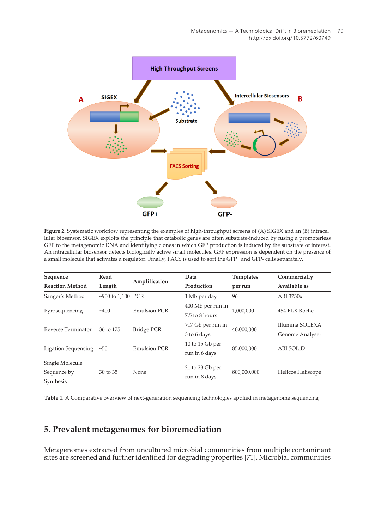<span id="page-6-0"></span>

Figure 2. Systematic workflow representing the examples of high-throughput screens of (A) SIGEX and an (B) intracellular biosensor. SIGEX exploits the principle that catabolic genes are often substrate-induced by fusing a promoterless GFP to the metagenomic DNA and identifying clones in which GFP production is induced by the substrate of interest. An intracellular biosensor detects biologically active small molecules. GFP expression is dependent on the presence of a small molecule that activates a regulator. Finally, FACS is used to sort the GFP+ and GFP- cells separately.

| Sequence                                    | Read                | Amplification       | Data                                | Templates   | Commercially                       |  |
|---------------------------------------------|---------------------|---------------------|-------------------------------------|-------------|------------------------------------|--|
| <b>Reaction Method</b>                      | Length              |                     | Production                          | per run     | Available as                       |  |
| Sanger's Method                             | $~500$ to 1,100 PCR |                     | 1 Mb per day                        | 96          | ABI 3730xl                         |  |
| Pyrosequencing                              | ~100                | Emulsion PCR        | 400 Mb per run in<br>7.5 to 8 hours | 1,000,000   | 454 FLX Roche                      |  |
| Reverse Terminator                          | 36 to 175           | Bridge PCR          | >17 Gb per run in<br>3 to 6 days    | 40,000,000  | Illumina SOLEXA<br>Genome Analyser |  |
| Ligation Sequencing                         | ~50                 | <b>Emulsion PCR</b> | 10 to 15 $Gb$ per<br>run in 6 days  | 85,000,000  | <b>ABI SOLiD</b>                   |  |
| Single Molecule<br>Sequence by<br>Synthesis | 30 to 35            | None                | 21 to 28 Gb per<br>run in 8 days    | 800,000,000 | Helicos Heliscope                  |  |

**Table 1.** A Comparative overview of next-generation sequencing technologies applied in metagenome sequencing

# **5. Prevalent metagenomes for bioremediation**

Metagenomes extracted from uncultured microbial communities from multiple contaminant sites are screened and further identified for degrading properties [\[71](#page-17-0)]. Microbial communities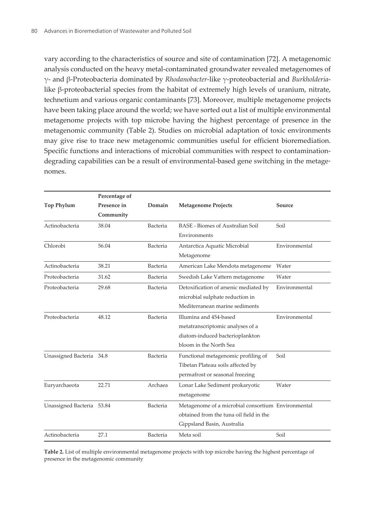vary according to the characteristics of source and site of contamination [[72\]](#page-17-0). A metagenomic analysis conducted on the heavy metal-contaminated groundwater revealed metagenomes of γ- and β-Proteobacteria dominated by *Rhodanobacter*-like γ-proteobacterial and *Burkholderia*like β-proteobacterial species from the habitat of extremely high levels of uranium, nitrate, technetium and various organic contaminants [\[73](#page-17-0)]. Moreover, multiple metagenome projects have been taking place around the world; we have sorted out a list of multiple environmental metagenome projects with top microbe having the highest percentage of presence in the metagenomic community (Table 2). Studies on microbial adaptation of toxic environments may give rise to trace new metagenomic communities useful for efficient bioremediation. Specific functions and interactions of microbial communities with respect to contaminationdegrading capabilities can be a result of environmental-based gene switching in the metagenomes.

|                           | Percentage of |                 |                                                    |               |
|---------------------------|---------------|-----------------|----------------------------------------------------|---------------|
| <b>Top Phylum</b>         | Presence in   | Domain          | <b>Metagenome Projects</b>                         | Source        |
|                           | Community     |                 |                                                    |               |
| Actinobacteria            | 38.04         | Bacteria        | <b>BASE</b> - Biomes of Australian Soil            | Soil          |
|                           |               |                 | Environments                                       |               |
| Chlorobi                  | 56.04         | Bacteria        | Antarctica Aquatic Microbial                       | Environmental |
|                           |               |                 | Metagenome                                         |               |
| Actinobacteria            | 38.21         | Bacteria        | American Lake Mendota metagenome                   | Water         |
| Proteobacteria            | 31.62         | Bacteria        | Swedish Lake Vattern metagenome                    | Water         |
| Proteobacteria            | 29.68         | Bacteria        | Detoxification of arsenic mediated by              | Environmental |
|                           |               |                 | microbial sulphate reduction in                    |               |
|                           |               |                 | Mediterranean marine sediments                     |               |
| Proteobacteria            | 48.12         | Bacteria        | Illumina and 454-based                             | Environmental |
|                           |               |                 | metatranscriptomic analyses of a                   |               |
|                           |               |                 | diatom-induced bacterioplankton                    |               |
|                           |               |                 | bloom in the North Sea                             |               |
| Unassigned Bacteria 34.8  |               | Bacteria        | Functional metagenomic profiling of                | Soil          |
|                           |               |                 | Tibetan Plateau soils affected by                  |               |
|                           |               |                 | permafrost or seasonal freezing                    |               |
| Euryarchaeota             | 22.71         | Archaea         | Lonar Lake Sediment prokaryotic                    | Water         |
|                           |               |                 | metagenome                                         |               |
| Unassigned Bacteria 53.84 |               | Bacteria        | Metagenome of a microbial consortium Environmental |               |
|                           |               |                 | obtained from the tuna oil field in the            |               |
|                           |               |                 | Gippsland Basin, Australia                         |               |
| Actinobacteria            | 27.1          | <b>Bacteria</b> | Meta soil                                          | Soil          |

**Table 2.** List of multiple environmental metagenome projects with top microbe having the highest percentage of presence in the metagenomic community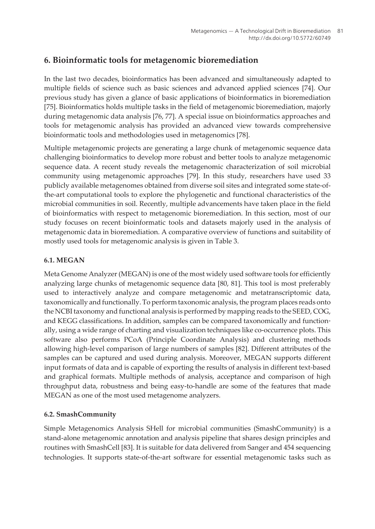# **6. Bioinformatic tools for metagenomic bioremediation**

In the last two decades, bioinformatics has been advanced and simultaneously adapted to multiple fields of science such as basic sciences and advanced applied sciences [\[74](#page-17-0)]. Our previous study has given a glance of basic applications of bioinformatics in bioremediation [[75\]](#page-17-0). Bioinformatics holds multiple tasks in the field of metagenomic bioremediation, majorly during metagenomic data analysis [\[76](#page-17-0), [77\]](#page-17-0). A special issue on bioinformatics approaches and tools for metagenomic analysis has provided an advanced view towards comprehensive bioinformatic tools and methodologies used in metagenomics [\[78](#page-17-0)].

Multiple metagenomic projects are generating a large chunk of metagenomic sequence data challenging bioinformatics to develop more robust and better tools to analyze metagenomic sequence data. A recent study reveals the metagenomic characterization of soil microbial community using metagenomic approaches [\[79](#page-17-0)]. In this study, researchers have used 33 publicly available metagenomes obtained from diverse soil sites and integrated some state-ofthe-art computational tools to explore the phylogenetic and functional characteristics of the microbial communities in soil. Recently, multiple advancements have taken place in the field of bioinformatics with respect to metagenomic bioremediation. In this section, most of our study focuses on recent bioinformatic tools and datasets majorly used in the analysis of metagenomic data in bioremediation. A comparative overview of functions and suitability of mostly used tools for metagenomic analysis is given in [Table 3.](#page-10-0)

### **6.1. MEGAN**

Meta Genome Analyzer (MEGAN) is one of the most widely used software tools for efficiently analyzing large chunks of metagenomic sequence data [[80,](#page-17-0) [81\]](#page-17-0). This tool is most preferably used to interactively analyze and compare metagenomic and metatranscriptomic data, taxonomically and functionally. To perform taxonomic analysis, the program places reads onto the NCBI taxonomy and functional analysis is performed by mapping reads to the SEED, COG, and KEGG classifications. In addition, samples can be compared taxonomically and function‐ ally, using a wide range of charting and visualization techniques like co-occurrence plots. This software also performs PCoA (Principle Coordinate Analysis) and clustering methods allowing high-level comparison of large numbers of samples [\[82](#page-17-0)]. Different attributes of the samples can be captured and used during analysis. Moreover, MEGAN supports different input formats of data and is capable of exporting the results of analysis in different text-based and graphical formats. Multiple methods of analysis, acceptance and comparison of high throughput data, robustness and being easy-to-handle are some of the features that made MEGAN as one of the most used metagenome analyzers.

## **6.2. SmashCommunity**

Simple Metagenomics Analysis SHell for microbial communities (SmashCommunity) is a stand-alone metagenomic annotation and analysis pipeline that shares design principles and routines with SmashCell [[83\]](#page-17-0). It is suitable for data delivered from Sanger and 454 sequencing technologies. It supports state-of-the-art software for essential metagenomic tasks such as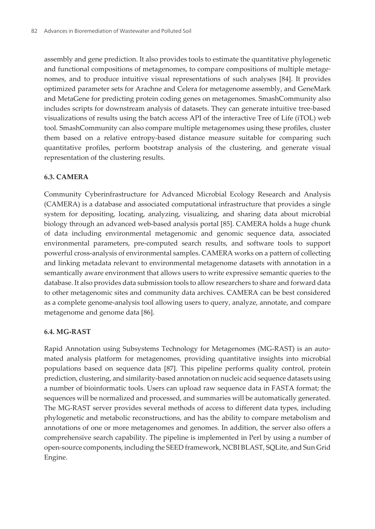assembly and gene prediction. It also provides tools to estimate the quantitative phylogenetic and functional compositions of metagenomes, to compare compositions of multiple metagenomes, and to produce intuitive visual representations of such analyses [\[84](#page-18-0)]. It provides optimized parameter sets for Arachne and Celera for metagenome assembly, and GeneMark and MetaGene for predicting protein coding genes on metagenomes. SmashCommunity also includes scripts for downstream analysis of datasets. They can generate intuitive tree-based visualizations of results using the batch access API of the interactive Tree of Life (iTOL) web tool. SmashCommunity can also compare multiple metagenomes using these profiles, cluster them based on a relative entropy-based distance measure suitable for comparing such quantitative profiles, perform bootstrap analysis of the clustering, and generate visual representation of the clustering results.

#### **6.3. CAMERA**

Community Cyberinfrastructure for Advanced Microbial Ecology Research and Analysis (CAMERA) is a database and associated computational infrastructure that provides a single system for depositing, locating, analyzing, visualizing, and sharing data about microbial biology through an advanced web-based analysis portal [[85\]](#page-18-0). CAMERA holds a huge chunk of data including environmental metagenomic and genomic sequence data, associated environmental parameters, pre-computed search results, and software tools to support powerful cross-analysis of environmental samples. CAMERA works on a pattern of collecting and linking metadata relevant to environmental metagenome datasets with annotation in a semantically aware environment that allows users to write expressive semantic queries to the database. It also provides data submission tools to allow researchers to share and forward data to other metagenomic sites and community data archives. CAMERA can be best considered as a complete genome-analysis tool allowing users to query, analyze, annotate, and compare metagenome and genome data [\[86](#page-18-0)].

#### **6.4. MG-RAST**

Rapid Annotation using Subsystems Technology for Metagenomes (MG-RAST) is an auto‐ mated analysis platform for metagenomes, providing quantitative insights into microbial populations based on sequence data [[87\]](#page-18-0). This pipeline performs quality control, protein prediction, clustering, and similarity-based annotation on nucleic acid sequence datasets using a number of bioinformatic tools. Users can upload raw sequence data in FASTA format; the sequences will be normalized and processed, and summaries will be automatically generated. The MG-RAST server provides several methods of access to different data types, including phylogenetic and metabolic reconstructions, and has the ability to compare metabolism and annotations of one or more metagenomes and genomes. In addition, the server also offers a comprehensive search capability. The pipeline is implemented in Perl by using a number of open-source components, including the SEED framework, NCBI BLAST, SQLite, and Sun Grid Engine.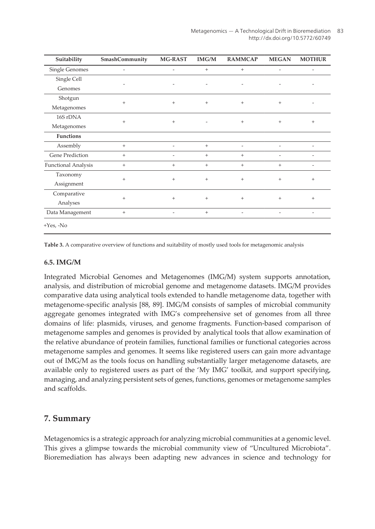<span id="page-10-0"></span>

| Suitability                | SmashCommunity           | <b>MG-RAST</b> | IMG/M                    | <b>RAMMCAP</b>    | <b>MEGAN</b>   | <b>MOTHUR</b>            |
|----------------------------|--------------------------|----------------|--------------------------|-------------------|----------------|--------------------------|
| Single Genomes             | $\overline{\phantom{m}}$ |                | $^{+}$                   | $^{+}$            | $\overline{a}$ | $\overline{\phantom{a}}$ |
| Single Cell                |                          |                | $\overline{a}$           | $\qquad \qquad -$ | ٠              |                          |
| Genomes                    |                          |                |                          |                   |                |                          |
| Shotgun                    | $\ddot{}$                | $^{+}$         | $\! +$                   | $\ddot{}$         | $^+$           |                          |
| Metagenomes                |                          |                |                          |                   |                |                          |
| 16S rDNA                   | $^{+}$                   | $^{+}$         | $\overline{\phantom{a}}$ | $\! + \!\!\!\!$   | $^{+}$         | $^{+}$                   |
| Metagenomes                |                          |                |                          |                   |                |                          |
| <b>Functions</b>           |                          |                |                          |                   |                |                          |
| Assembly                   | $^{+}$                   |                | $\ddot{}$                |                   |                |                          |
| <b>Gene Prediction</b>     | $^{+}$                   |                | $\ddot{}$                | $+$               |                |                          |
| <b>Functional Analysis</b> | $^{+}$                   | $^{+}$         | $\ddot{}$                | $^{+}$            | $^{+}$         |                          |
| Taxonomy                   | $^{+}$                   | $^{+}$         | $\ddot{}$                | $^{+}$            | $^{+}$         | $\ddot{}$                |
| Assignment                 |                          |                |                          |                   |                |                          |
| Comparative                | $^{+}$                   | $\ddot{}$      | $\ddot{}$                | $\ddot{}$         | $^{+}$         | $\ddot{}$                |
| Analyses                   |                          |                |                          |                   |                |                          |
| Data Management            | $\ddot{}$                |                | $\! + \!\!\!$            | $\qquad \qquad -$ | $\overline{a}$ |                          |
| $+Yes, -No$                |                          |                |                          |                   |                |                          |

**Table 3.** A comparative overview of functions and suitability of mostly used tools for metagenomic analysis

#### **6.5. IMG/M**

Integrated Microbial Genomes and Metagenomes (IMG/M) system supports annotation, analysis, and distribution of microbial genome and metagenome datasets. IMG/M provides comparative data using analytical tools extended to handle metagenome data, together with metagenome-specific analysis [\[88](#page-18-0), 89]. IMG/M consists of samples of microbial community aggregate genomes integrated with IMG's comprehensive set of genomes from all three domains of life: plasmids, viruses, and genome fragments. Function-based comparison of metagenome samples and genomes is provided by analytical tools that allow examination of the relative abundance of protein families, functional families or functional categories across metagenome samples and genomes. It seems like registered users can gain more advantage out of IMG/M as the tools focus on handling substantially larger metagenome datasets, are available only to registered users as part of the 'My IMG' toolkit, and support specifying, managing, and analyzing persistent sets of genes, functions, genomes or metagenome samples and scaffolds.

## **7. Summary**

Metagenomics is a strategic approach for analyzing microbial communities at a genomic level. This gives a glimpse towards the microbial community view of "Uncultured Microbiota". Bioremediation has always been adapting new advances in science and technology for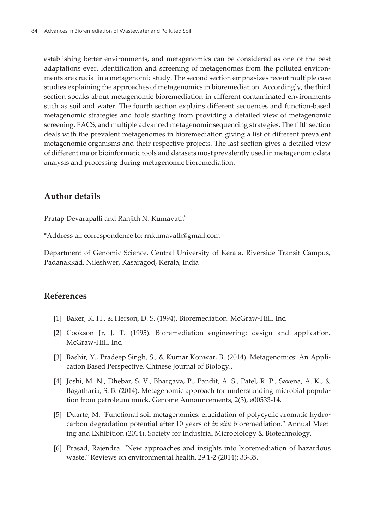<span id="page-11-0"></span>establishing better environments, and metagenomics can be considered as one of the best adaptations ever. Identification and screening of metagenomes from the polluted environ‐ ments are crucial in a metagenomic study. The second section emphasizes recent multiple case studies explaining the approaches of metagenomics in bioremediation. Accordingly, the third section speaks about metagenomic bioremediation in different contaminated environments such as soil and water. The fourth section explains different sequences and function-based metagenomic strategies and tools starting from providing a detailed view of metagenomic screening, FACS, and multiple advanced metagenomic sequencing strategies. The fifth section deals with the prevalent metagenomes in bioremediation giving a list of different prevalent metagenomic organisms and their respective projects. The last section gives a detailed view of different major bioinformatic tools and datasets most prevalently used in metagenomic data analysis and processing during metagenomic bioremediation.

# **Author details**

Pratap Devarapalli and Ranjith N. Kumavath\*

\*Address all correspondence to: rnkumavath@gmail.com

Department of Genomic Science, Central University of Kerala, Riverside Transit Campus, Padanakkad, Nileshwer, Kasaragod, Kerala, India

## **References**

- [1] Baker, K. H., & Herson, D. S. (1994). Bioremediation. McGraw-Hill, Inc.
- [2] Cookson Jr, J. T. (1995). Bioremediation engineering: design and application. McGraw-Hill, Inc.
- [3] Bashir, Y., Pradeep Singh, S., & Kumar Konwar, B. (2014). Metagenomics: An Appli‐ cation Based Perspective. Chinese Journal of Biology..
- [4] Joshi, M. N., Dhebar, S. V., Bhargava, P., Pandit, A. S., Patel, R. P., Saxena, A. K., & Bagatharia, S. B. (2014). Metagenomic approach for understanding microbial popula‐ tion from petroleum muck. Genome Announcements, 2(3), e00533-14.
- [5] Duarte, M. "Functional soil metagenomics: elucidation of polycyclic aromatic hydro‐ carbon degradation potential after 10 years of *in situ* bioremediation." Annual Meet‐ ing and Exhibition (2014). Society for Industrial Microbiology & Biotechnology.
- [6] Prasad, Rajendra. "New approaches and insights into bioremediation of hazardous waste." Reviews on environmental health. 29.1-2 (2014): 33-35.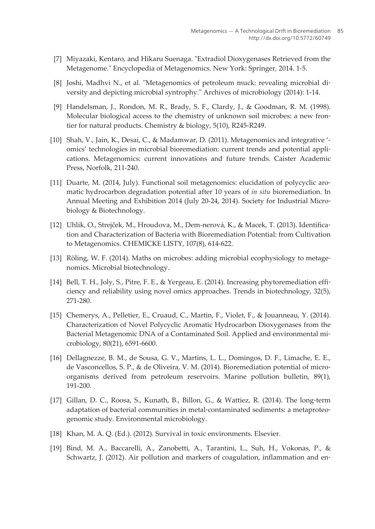- <span id="page-12-0"></span>[7] Miyazaki, Kentaro, and Hikaru Suenaga. "Extradiol Dioxygenases Retrieved from the Metagenome." Encyclopedia of Metagenomics. New York: Springer, 2014. 1-5.
- [8] Joshi, Madhvi N., et al. "Metagenomics of petroleum muck: revealing microbial diversity and depicting microbial syntrophy." Archives of microbiology (2014): 1-14.
- [9] Handelsman, J., Rondon, M. R., Brady, S. F., Clardy, J., & Goodman, R. M. (1998). Molecular biological access to the chemistry of unknown soil microbes: a new frontier for natural products. Chemistry & biology, 5(10), R245-R249.
- [10] Shah, V., Jain, K., Desai, C., & Madamwar, D. (2011). Metagenomics and integrative ' omics' technologies in microbial bioremediation: current trends and potential appli‐ cations. Metagenomics: current innovations and future trends. Caister Academic Press, Norfolk, 211-240.
- [11] Duarte, M. (2014, July). Functional soil metagenomics: elucidation of polycyclic aro‐ matic hydrocarbon degradation potential after 10 years of *in situ* bioremediation. In Annual Meeting and Exhibition 2014 (July 20-24, 2014). Society for Industrial Micro‐ biology & Biotechnology.
- [12] Uhlik, O., Strejček, M., Hroudova, M., Dem-nerová, K., & Macek, T. (2013). Identifica‐ tion and Characterization of Bacteria with Bioremediation Potential: from Cultivation to Metagenomics. CHEMICKE LISTY, 107(8), 614-622.
- [13] Röling, W. F. (2014). Maths on microbes: adding microbial ecophysiology to metagenomics. Microbial biotechnology.
- [14] Bell, T. H., Joly, S., Pitre, F. E., & Yergeau, E. (2014). Increasing phytoremediation effi‐ ciency and reliability using novel omics approaches. Trends in biotechnology, 32(5), 271-280.
- [15] Chemerys, A., Pelletier, E., Cruaud, C., Martin, F., Violet, F., & Jouanneau, Y. (2014). Characterization of Novel Polycyclic Aromatic Hydrocarbon Dioxygenases from the Bacterial Metagenomic DNA of a Contaminated Soil. Applied and environmental mi‐ crobiology, 80(21), 6591-6600.
- [16] Dellagnezze, B. M., de Sousa, G. V., Martins, L. L., Domingos, D. F., Limache, E. E., de Vasconcellos, S. P., & de Oliveira, V. M. (2014). Bioremediation potential of microorganisms derived from petroleum reservoirs. Marine pollution bulletin, 89(1), 191-200.
- [17] Gillan, D. C., Roosa, S., Kunath, B., Billon, G., & Wattiez, R. (2014). The long‐term adaptation of bacterial communities in metal‐contaminated sediments: a metaproteo‐ genomic study. Environmental microbiology.
- [18] Khan, M. A. Q. (Ed.). (2012). Survival in toxic environments. Elsevier.
- [19] Bind, M. A., Baccarelli, A., Zanobetti, A., Tarantini, L., Suh, H., Vokonas, P., & Schwartz, J. (2012). Air pollution and markers of coagulation, inflammation and en‐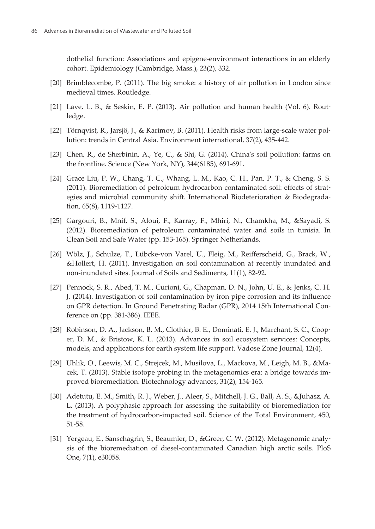<span id="page-13-0"></span>dothelial function: Associations and epigene-environment interactions in an elderly cohort. Epidemiology (Cambridge, Mass.), 23(2), 332.

- [20] Brimblecombe, P. (2011). The big smoke: a history of air pollution in London since medieval times. Routledge.
- [21] Lave, L. B., & Seskin, E. P. (2013). Air pollution and human health (Vol. 6). Routledge.
- [22] Törnqvist, R., Jarsjö, J., & Karimov, B. (2011). Health risks from large-scale water pol‐ lution: trends in Central Asia. Environment international, 37(2), 435-442.
- [23] Chen, R., de Sherbinin, A., Ye, C., & Shi, G. (2014). China's soil pollution: farms on the frontline. Science (New York, NY), 344(6185), 691-691.
- [24] Grace Liu, P. W., Chang, T. C., Whang, L. M., Kao, C. H., Pan, P. T., & Cheng, S. S. (2011). Bioremediation of petroleum hydrocarbon contaminated soil: effects of strat‐ egies and microbial community shift. International Biodeterioration & Biodegrada‐ tion, 65(8), 1119-1127.
- [25] Gargouri, B., Mnif, S., Aloui, F., Karray, F., Mhiri, N., Chamkha, M., &Sayadi, S. (2012). Bioremediation of petroleum contaminated water and soils in tunisia. In Clean Soil and Safe Water (pp. 153-165). Springer Netherlands.
- [26] Wölz, J., Schulze, T., Lübcke-von Varel, U., Fleig, M., Reifferscheid, G., Brack, W., &Hollert, H. (2011). Investigation on soil contamination at recently inundated and non-inundated sites. Journal of Soils and Sediments, 11(1), 82-92.
- [27] Pennock, S. R., Abed, T. M., Curioni, G., Chapman, D. N., John, U. E., & Jenks, C. H. J. (2014). Investigation of soil contamination by iron pipe corrosion and its influence on GPR detection. In Ground Penetrating Radar (GPR), 2014 15th International Con‐ ference on (pp. 381-386). IEEE.
- [28] Robinson, D. A., Jackson, B. M., Clothier, B. E., Dominati, E. J., Marchant, S. C., Cooper, D. M., & Bristow, K. L. (2013). Advances in soil ecosystem services: Concepts, models, and applications for earth system life support. Vadose Zone Journal, 12(4).
- [29] Uhlik, O., Leewis, M. C., Strejcek, M., Musilova, L., Mackova, M., Leigh, M. B., &Ma‐ cek, T. (2013). Stable isotope probing in the metagenomics era: a bridge towards im‐ proved bioremediation. Biotechnology advances, 31(2), 154-165.
- [30] Adetutu, E. M., Smith, R. J., Weber, J., Aleer, S., Mitchell, J. G., Ball, A. S., &Juhasz, A. L. (2013). A polyphasic approach for assessing the suitability of bioremediation for the treatment of hydrocarbon-impacted soil. Science of the Total Environment, 450, 51-58.
- [31] Yergeau, E., Sanschagrin, S., Beaumier, D., &Greer, C. W. (2012). Metagenomic analy‐ sis of the bioremediation of diesel-contaminated Canadian high arctic soils. PloS One, 7(1), e30058.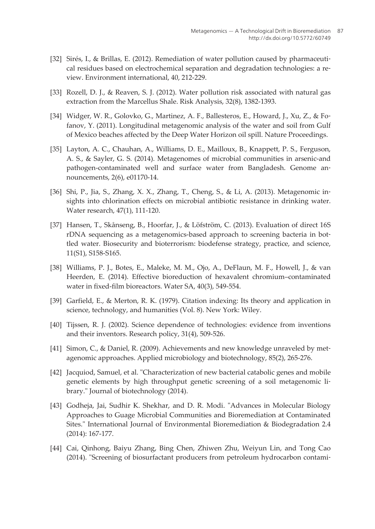- <span id="page-14-0"></span>[32] Sirés, I., & Brillas, E. (2012). Remediation of water pollution caused by pharmaceutical residues based on electrochemical separation and degradation technologies: a review. Environment international, 40, 212-229.
- [33] Rozell, D. J., & Reaven, S. J. (2012). Water pollution risk associated with natural gas extraction from the Marcellus Shale. Risk Analysis, 32(8), 1382-1393.
- [34] Widger, W. R., Golovko, G., Martinez, A. F., Ballesteros, E., Howard, J., Xu, Z., & Fo‐ fanov, Y. (2011). Longitudinal metagenomic analysis of the water and soil from Gulf of Mexico beaches affected by the Deep Water Horizon oil spill. Nature Proceedings.
- [35] Layton, A. C., Chauhan, A., Williams, D. E., Mailloux, B., Knappett, P. S., Ferguson, A. S., & Sayler, G. S. (2014). Metagenomes of microbial communities in arsenic-and pathogen-contaminated well and surface water from Bangladesh. Genome announcements, 2(6), e01170-14.
- [36] Shi, P., Jia, S., Zhang, X. X., Zhang, T., Cheng, S., & Li, A. (2013). Metagenomic in‐ sights into chlorination effects on microbial antibiotic resistance in drinking water. Water research, 47(1), 111-120.
- [37] Hansen, T., Skånseng, B., Hoorfar, J., & Löfström, C. (2013). Evaluation of direct 16S rDNA sequencing as a metagenomics-based approach to screening bacteria in bot‐ tled water. Biosecurity and bioterrorism: biodefense strategy, practice, and science, 11(S1), S158-S165.
- [38] Williams, P. J., Botes, E., Maleke, M. M., Ojo, A., DeFlaun, M. F., Howell, J., & van Heerden, E. (2014). Effective bioreduction of hexavalent chromium–contaminated water in fixed-film bioreactors. Water SA, 40(3), 549-554.
- [39] Garfield, E., & Merton, R. K. (1979). Citation indexing: Its theory and application in science, technology, and humanities (Vol. 8). New York: Wiley.
- [40] Tijssen, R. J. (2002). Science dependence of technologies: evidence from inventions and their inventors. Research policy, 31(4), 509-526.
- [41] Simon, C., & Daniel, R. (2009). Achievements and new knowledge unraveled by metagenomic approaches. Applied microbiology and biotechnology, 85(2), 265-276.
- [42] Jacquiod, Samuel, et al. "Characterization of new bacterial catabolic genes and mobile genetic elements by high throughput genetic screening of a soil metagenomic library." Journal of biotechnology (2014).
- [43] Godheja, Jai, Sudhir K. Shekhar, and D. R. Modi. "Advances in Molecular Biology Approaches to Guage Microbial Communities and Bioremediation at Contaminated Sites." International Journal of Environmental Bioremediation & Biodegradation 2.4 (2014): 167-177.
- [44] Cai, Qinhong, Baiyu Zhang, Bing Chen, Zhiwen Zhu, Weiyun Lin, and Tong Cao (2014). "Screening of biosurfactant producers from petroleum hydrocarbon contami‐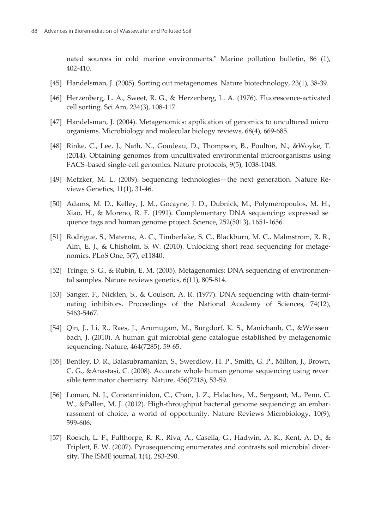<span id="page-15-0"></span>nated sources in cold marine environments." Marine pollution bulletin, 86 (1), 402-410.

- [45] Handelsman, J. (2005). Sorting out metagenomes. Nature biotechnology, 23(1), 38-39.
- [46] Herzenberg, L. A., Sweet, R. G., & Herzenberg, L. A. (1976). Fluorescence-activated cell sorting. Sci Am, 234(3), 108-117.
- [47] Handelsman, J. (2004). Metagenomics: application of genomics to uncultured microorganisms. Microbiology and molecular biology reviews, 68(4), 669-685.
- [48] Rinke, C., Lee, J., Nath, N., Goudeau, D., Thompson, B., Poulton, N., &Woyke, T. (2014). Obtaining genomes from uncultivated environmental microorganisms using FACS–based single-cell genomics. Nature protocols, 9(5), 1038-1048.
- [49] Metzker, M. L. (2009). Sequencing technologies—the next generation. Nature Re‐ views Genetics, 11(1), 31-46.
- [50] Adams, M. D., Kelley, J. M., Gocayne, J. D., Dubnick, M., Polymeropoulos, M. H., Xiao, H., & Moreno, R. F. (1991). Complementary DNA sequencing: expressed se‐ quence tags and human genome project. Science, 252(5013), 1651-1656.
- [51] Rodrigue, S., Materna, A. C., Timberlake, S. C., Blackburn, M. C., Malmstrom, R. R., Alm, E. J., & Chisholm, S. W. (2010). Unlocking short read sequencing for metagenomics. PLoS One, 5(7), e11840.
- [52] Tringe, S. G., & Rubin, E. M. (2005). Metagenomics: DNA sequencing of environmen‐ tal samples. Nature reviews genetics, 6(11), 805-814.
- [53] Sanger, F., Nicklen, S., & Coulson, A. R. (1977). DNA sequencing with chain-termi‐ nating inhibitors. Proceedings of the National Academy of Sciences, 74(12), 5463-5467.
- [54] Qin, J., Li, R., Raes, J., Arumugam, M., Burgdorf, K. S., Manichanh, C., &Weissenbach, J. (2010). A human gut microbial gene catalogue established by metagenomic sequencing. Nature, 464(7285), 59-65.
- [55] Bentley, D. R., Balasubramanian, S., Swerdlow, H. P., Smith, G. P., Milton, J., Brown, C. G., &Anastasi, C. (2008). Accurate whole human genome sequencing using rever‐ sible terminator chemistry. Nature, 456(7218), 53-59.
- [56] Loman, N. J., Constantinidou, C., Chan, J. Z., Halachev, M., Sergeant, M., Penn, C. W., &Pallen, M. J. (2012). High-throughput bacterial genome sequencing: an embarrassment of choice, a world of opportunity. Nature Reviews Microbiology, 10(9), 599-606.
- [57] Roesch, L. F., Fulthorpe, R. R., Riva, A., Casella, G., Hadwin, A. K., Kent, A. D., & Triplett, E. W. (2007). Pyrosequencing enumerates and contrasts soil microbial diver‐ sity. The ISME journal, 1(4), 283-290.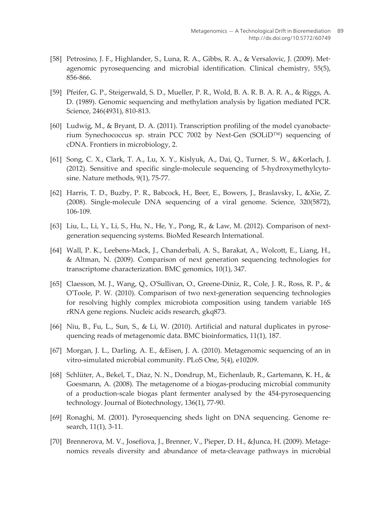- <span id="page-16-0"></span>[58] Petrosino, J. F., Highlander, S., Luna, R. A., Gibbs, R. A., & Versalovic, J. (2009). Metagenomic pyrosequencing and microbial identification. Clinical chemistry, 55(5), 856-866.
- [59] Pfeifer, G. P., Steigerwald, S. D., Mueller, P. R., Wold, B. A. R. B. A. R. A., & Riggs, A. D. (1989). Genomic sequencing and methylation analysis by ligation mediated PCR. Science, 246(4931), 810-813.
- [60] Ludwig, M., & Bryant, D. A. (2011). Transcription profiling of the model cyanobacte‐ rium Synechococcus sp. strain PCC 7002 by Next-Gen (SOLiD™) sequencing of cDNA. Frontiers in microbiology, 2.
- [61] Song, C. X., Clark, T. A., Lu, X. Y., Kislyuk, A., Dai, Q., Turner, S. W., &Korlach, J. (2012). Sensitive and specific single-molecule sequencing of 5-hydroxymethylcyto‐ sine. Nature methods, 9(1), 75-77.
- [62] Harris, T. D., Buzby, P. R., Babcock, H., Beer, E., Bowers, J., Braslavsky, I., &Xie, Z. (2008). Single-molecule DNA sequencing of a viral genome. Science, 320(5872), 106-109.
- [63] Liu, L., Li, Y., Li, S., Hu, N., He, Y., Pong, R., & Law, M. (2012). Comparison of nextgeneration sequencing systems. BioMed Research International.
- [64] Wall, P. K., Leebens-Mack, J., Chanderbali, A. S., Barakat, A., Wolcott, E., Liang, H., & Altman, N. (2009). Comparison of next generation sequencing technologies for transcriptome characterization. BMC genomics, 10(1), 347.
- [65] Claesson, M. J., Wang, Q., O'Sullivan, O., Greene-Diniz, R., Cole, J. R., Ross, R. P., & O'Toole, P. W. (2010). Comparison of two next-generation sequencing technologies for resolving highly complex microbiota composition using tandem variable 16S rRNA gene regions. Nucleic acids research, gkq873.
- [66] Niu, B., Fu, L., Sun, S., & Li, W. (2010). Artificial and natural duplicates in pyrose‐ quencing reads of metagenomic data. BMC bioinformatics, 11(1), 187.
- [67] Morgan, J. L., Darling, A. E., &Eisen, J. A. (2010). Metagenomic sequencing of an in vitro-simulated microbial community. PLoS One, 5(4), e10209.
- [68] Schlüter, A., Bekel, T., Diaz, N. N., Dondrup, M., Eichenlaub, R., Gartemann, K. H., & Goesmann, A. (2008). The metagenome of a biogas-producing microbial community of a production-scale biogas plant fermenter analysed by the 454-pyrosequencing technology. Journal of Biotechnology, 136(1), 77-90.
- [69] Ronaghi, M. (2001). Pyrosequencing sheds light on DNA sequencing. Genome research, 11(1), 3-11.
- [70] Brennerova, M. V., Josefiova, J., Brenner, V., Pieper, D. H., &Junca, H. (2009). Metage‐ nomics reveals diversity and abundance of meta‐cleavage pathways in microbial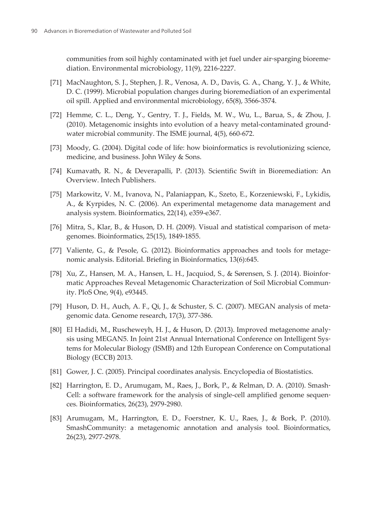<span id="page-17-0"></span>communities from soil highly contaminated with jet fuel under air‐sparging bioreme‐ diation. Environmental microbiology, 11(9), 2216-2227.

- [71] MacNaughton, S. J., Stephen, J. R., Venosa, A. D., Davis, G. A., Chang, Y. J., & White, D. C. (1999). Microbial population changes during bioremediation of an experimental oil spill. Applied and environmental microbiology, 65(8), 3566-3574.
- [72] Hemme, C. L., Deng, Y., Gentry, T. J., Fields, M. W., Wu, L., Barua, S., & Zhou, J. (2010). Metagenomic insights into evolution of a heavy metal-contaminated ground‐ water microbial community. The ISME journal, 4(5), 660-672.
- [73] Moody, G. (2004). Digital code of life: how bioinformatics is revolutionizing science, medicine, and business. John Wiley & Sons.
- [74] Kumavath, R. N., & Deverapalli, P. (2013). Scientific Swift in Bioremediation: An Overview. Intech Publishers.
- [75] Markowitz, V. M., Ivanova, N., Palaniappan, K., Szeto, E., Korzeniewski, F., Lykidis, A., & Kyrpides, N. C. (2006). An experimental metagenome data management and analysis system. Bioinformatics, 22(14), e359-e367.
- [76] Mitra, S., Klar, B., & Huson, D. H. (2009). Visual and statistical comparison of meta‐ genomes. Bioinformatics, 25(15), 1849-1855.
- [77] Valiente, G., & Pesole, G. (2012). Bioinformatics approaches and tools for metagenomic analysis. Editorial. Briefing in Bioinformatics, 13(6):645.
- [78] Xu, Z., Hansen, M. A., Hansen, L. H., Jacquiod, S., & Sørensen, S. J. (2014). Bioinfor‐ matic Approaches Reveal Metagenomic Characterization of Soil Microbial Commun‐ ity. PloS One, 9(4), e93445.
- [79] Huson, D. H., Auch, A. F., Qi, J., & Schuster, S. C. (2007). MEGAN analysis of metagenomic data. Genome research, 17(3), 377-386.
- [80] El Hadidi, M., Ruscheweyh, H. J., & Huson, D. (2013). Improved metagenome analy‐ sis using MEGAN5. In Joint 21st Annual International Conference on Intelligent Sys‐ tems for Molecular Biology (ISMB) and 12th European Conference on Computational Biology (ECCB) 2013.
- [81] Gower, J. C. (2005). Principal coordinates analysis. Encyclopedia of Biostatistics.
- [82] Harrington, E. D., Arumugam, M., Raes, J., Bork, P., & Relman, D. A. (2010). Smash‐ Cell: a software framework for the analysis of single-cell amplified genome sequen‐ ces. Bioinformatics, 26(23), 2979-2980.
- [83] Arumugam, M., Harrington, E. D., Foerstner, K. U., Raes, J., & Bork, P. (2010). SmashCommunity: a metagenomic annotation and analysis tool. Bioinformatics, 26(23), 2977-2978.